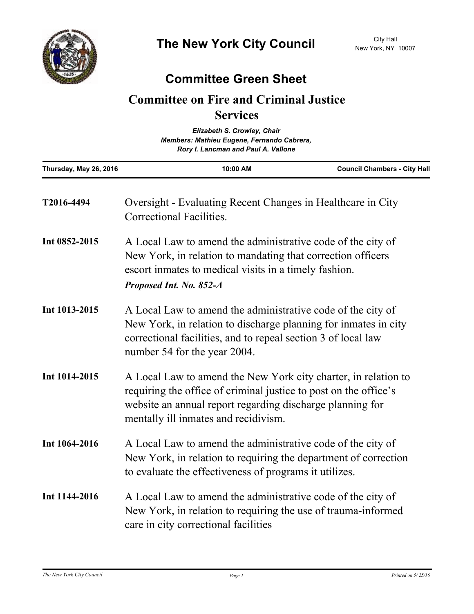

## **Committee Green Sheet**

## **Committee on Fire and Criminal Justice Services**

| Elizabeth S. Crowley, Chair<br>Members: Mathieu Eugene, Fernando Cabrera,<br>Rory I. Lancman and Paul A. Vallone |                                                                                                                                                                                                                                         |                                     |
|------------------------------------------------------------------------------------------------------------------|-----------------------------------------------------------------------------------------------------------------------------------------------------------------------------------------------------------------------------------------|-------------------------------------|
| Thursday, May 26, 2016                                                                                           | 10:00 AM                                                                                                                                                                                                                                | <b>Council Chambers - City Hall</b> |
| T2016-4494                                                                                                       | Oversight - Evaluating Recent Changes in Healthcare in City<br>Correctional Facilities.                                                                                                                                                 |                                     |
| Int 0852-2015                                                                                                    | A Local Law to amend the administrative code of the city of<br>New York, in relation to mandating that correction officers<br>escort inmates to medical visits in a timely fashion.<br>Proposed Int. No. 852-A                          |                                     |
| Int 1013-2015                                                                                                    | A Local Law to amend the administrative code of the city of<br>New York, in relation to discharge planning for inmates in city<br>correctional facilities, and to repeal section 3 of local law<br>number 54 for the year 2004.         |                                     |
| Int 1014-2015                                                                                                    | A Local Law to amend the New York city charter, in relation to<br>requiring the office of criminal justice to post on the office's<br>website an annual report regarding discharge planning for<br>mentally ill inmates and recidivism. |                                     |
| Int 1064-2016                                                                                                    | A Local Law to amend the administrative code of the city of<br>New York, in relation to requiring the department of correction<br>to evaluate the effectiveness of programs it utilizes.                                                |                                     |
| Int 1144-2016                                                                                                    | A Local Law to amend the administrative code of the city of<br>New York, in relation to requiring the use of trauma-informed<br>care in city correctional facilities                                                                    |                                     |